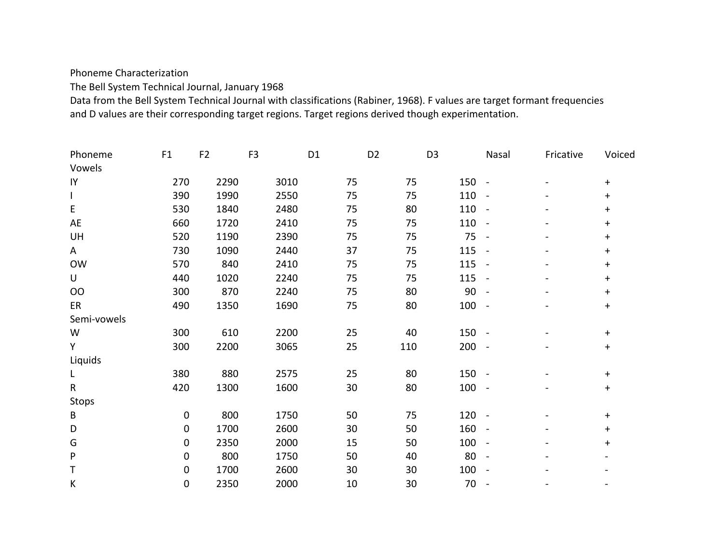Phoneme Characterization

The Bell System Technical Journal, January 1968

Data from the Bell System Technical Journal with classifications (Rabiner, 1968). F values are target formant frequencies and D values are their corresponding target regions. Target regions derived though experimentation.

| Phoneme      | F1          | F <sub>2</sub> | F <sub>3</sub> | D <sub>1</sub> | D <sub>2</sub> | D <sub>3</sub> | Nasal                    | Fricative | Voiced     |
|--------------|-------------|----------------|----------------|----------------|----------------|----------------|--------------------------|-----------|------------|
| Vowels       |             |                |                |                |                |                |                          |           |            |
| IY           | 270         | 2290           | 3010           | 75             | 75             | 150 -          |                          |           | $\ddagger$ |
| $\mathsf{I}$ | 390         | 1990           | 2550           | 75             | 75             | 110            | $\blacksquare$           |           | $+$        |
| E            | 530         | 1840           | 2480           | 75             | 80             | 110            | $\overline{\phantom{a}}$ |           | $\ddagger$ |
| AE           | 660         | 1720           | 2410           | 75             | 75             | 110            | $\blacksquare$           |           | $\ddagger$ |
| UH           | 520         | 1190           | 2390           | 75             | 75             | 75             | $\sim$                   |           | $+$        |
| A            | 730         | 1090           | 2440           | 37             | 75             | 115            | $\sim$                   |           | $+$        |
| <b>OW</b>    | 570         | 840            | 2410           | 75             | 75             | 115            | $\sim$                   |           | $+$        |
| U            | 440         | 1020           | 2240           | 75             | 75             | 115            | $\sim$                   |           | $\ddagger$ |
| <b>OO</b>    | 300         | 870            | 2240           | 75             | 80             | 90             | $\overline{\phantom{a}}$ |           | $+$        |
| ER           | 490         | 1350           | 1690           | 75             | 80             | 100            | $\sim$                   |           | $+$        |
| Semi-vowels  |             |                |                |                |                |                |                          |           |            |
| W            | 300         | 610            | 2200           | 25             | 40             | $150 -$        |                          |           | $+$        |
| Y            | 300         | 2200           | 3065           | 25             | 110            | 200            | $\sim$ $-$               |           | $+$        |
| Liquids      |             |                |                |                |                |                |                          |           |            |
| L            | 380         | 880            | 2575           | 25             | 80             | 150            | $\sim$                   |           | $+$        |
| $\mathsf{R}$ | 420         | 1300           | 1600           | 30             | 80             | 100            | $\sim$ $-$               |           | $\pm$      |
| <b>Stops</b> |             |                |                |                |                |                |                          |           |            |
| B            | $\mathbf 0$ | 800            | 1750           | 50             | 75             | 120            | $\sim$ $-$               |           | $+$        |
| D            | 0           | 1700           | 2600           | 30             | 50             | 160            | $\sim$                   |           | $+$        |
| G            | 0           | 2350           | 2000           | 15             | 50             | 100            | $\blacksquare$           |           | $+$        |
| ${\sf P}$    | 0           | 800            | 1750           | 50             | 40             | 80             | $\blacksquare$           |           |            |
| Τ            | 0           | 1700           | 2600           | 30             | 30             | 100            | $\overline{\phantom{a}}$ |           |            |
| К            | 0           | 2350           | 2000           | 10             | 30             | 70             | $\overline{\phantom{a}}$ |           |            |